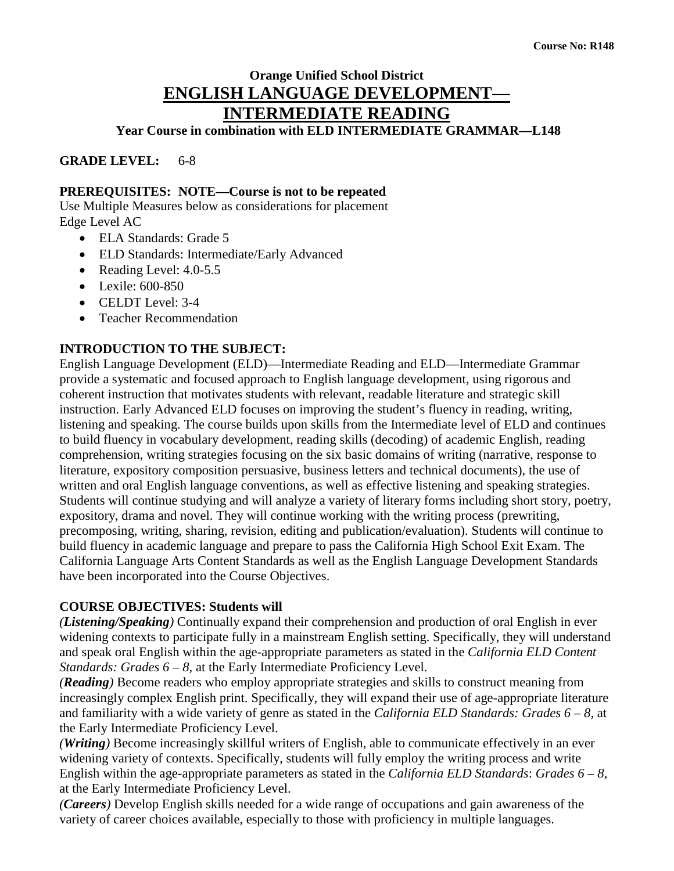# **Orange Unified School District ENGLISH LANGUAGE DEVELOPMENT— INTERMEDIATE READING**

**Year Course in combination with ELD INTERMEDIATE GRAMMAR—L148**

**GRADE LEVEL:** 6-8

## **PREREQUISITES: NOTE—Course is not to be repeated**

Use Multiple Measures below as considerations for placement Edge Level AC

- ELA Standards: Grade 5
- ELD Standards: Intermediate/Early Advanced
- Reading Level: 4.0-5.5
- Lexile: 600-850
- CELDT Level: 3-4
- Teacher Recommendation

# **INTRODUCTION TO THE SUBJECT:**

English Language Development (ELD)—Intermediate Reading and ELD—Intermediate Grammar provide a systematic and focused approach to English language development, using rigorous and coherent instruction that motivates students with relevant, readable literature and strategic skill instruction. Early Advanced ELD focuses on improving the student's fluency in reading, writing, listening and speaking. The course builds upon skills from the Intermediate level of ELD and continues to build fluency in vocabulary development, reading skills (decoding) of academic English, reading comprehension, writing strategies focusing on the six basic domains of writing (narrative, response to literature, expository composition persuasive, business letters and technical documents), the use of written and oral English language conventions, as well as effective listening and speaking strategies. Students will continue studying and will analyze a variety of literary forms including short story, poetry, expository, drama and novel. They will continue working with the writing process (prewriting, precomposing, writing, sharing, revision, editing and publication/evaluation). Students will continue to build fluency in academic language and prepare to pass the California High School Exit Exam. The California Language Arts Content Standards as well as the English Language Development Standards have been incorporated into the Course Objectives.

## **COURSE OBJECTIVES: Students will**

*(Listening/Speaking)* Continually expand their comprehension and production of oral English in ever widening contexts to participate fully in a mainstream English setting. Specifically, they will understand and speak oral English within the age-appropriate parameters as stated in the *California ELD Content Standards: Grades 6 – 8, at the Early Intermediate Proficiency Level.* 

*(Reading)* Become readers who employ appropriate strategies and skills to construct meaning from increasingly complex English print. Specifically, they will expand their use of age-appropriate literature and familiarity with a wide variety of genre as stated in the *California ELD Standards: Grades 6 – 8,* at the Early Intermediate Proficiency Level.

*(Writing)* Become increasingly skillful writers of English, able to communicate effectively in an ever widening variety of contexts. Specifically, students will fully employ the writing process and write English within the age-appropriate parameters as stated in the *California ELD Standards*: *Grades 6 – 8*, at the Early Intermediate Proficiency Level.

*(Careers)* Develop English skills needed for a wide range of occupations and gain awareness of the variety of career choices available, especially to those with proficiency in multiple languages.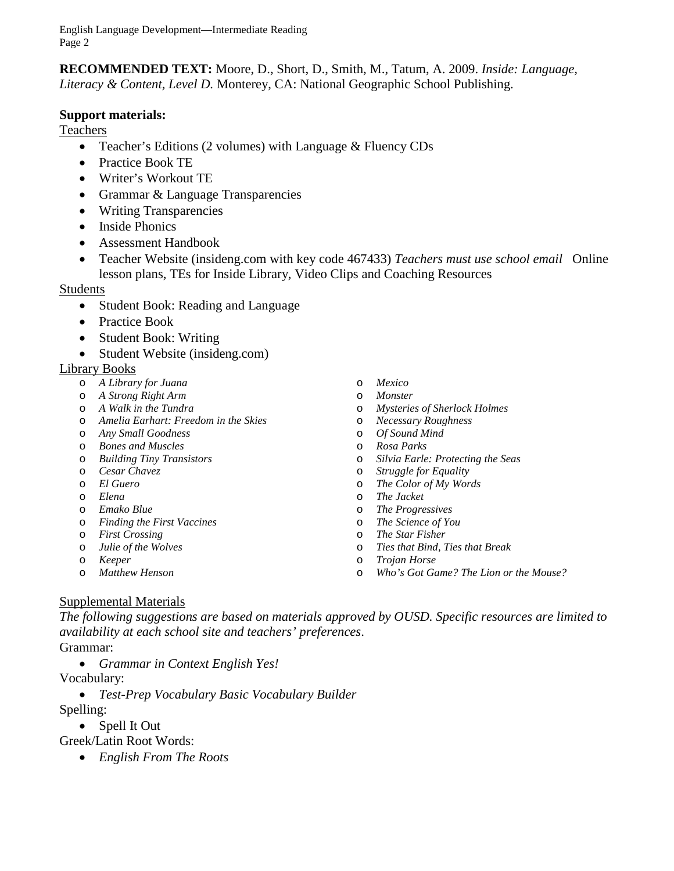English Language Development—Intermediate Reading Page 2

**RECOMMENDED TEXT:** Moore, D., Short, D., Smith, M., Tatum, A. 2009. *Inside: Language, Literacy & Content, Level D.* Monterey, CA: National Geographic School Publishing.

### **Support materials:**

Teachers

- Teacher's Editions (2 volumes) with Language & Fluency CDs
- Practice Book TE
- Writer's Workout TE
- Grammar & Language Transparencies
- Writing Transparencies
- Inside Phonics
- Assessment Handbook
- Teacher Website (insideng.com with key code 467433) *Teachers must use school email* Online lesson plans, TEs for Inside Library, Video Clips and Coaching Resources

#### Students

- Student Book: Reading and Language
- Practice Book
- Student Book: Writing
- Student Website (insideng.com)

#### Library Books

- o *A Library for Juana*
- o *A Strong Right Arm*
- o *A Walk in the Tundra*
- o *Amelia Earhart: Freedom in the Skies*
- o *Any Small Goodness*
- o *Bones and Muscles*
- o *Building Tiny Transistors*
- o *Cesar Chavez*
- o *El Guero*
- o *Elena*
- o *Emako Blue*
- o *Finding the First Vaccines*
- o *First Crossing*
- o *Julie of the Wolves*
- o *Keeper*
- o *Matthew Henson*
- o *Mexico*
- o *Monster*
- o *Mysteries of Sherlock Holmes*
- o *Necessary Roughness*
- o *Of Sound Mind*
- o *Rosa Parks*
- o *Silvia Earle: Protecting the Seas*
- **Struggle for Equality**
- o *The Color of My Words*
- o *The Jacket*
- o *The Progressives*
- o *The Science of You*
- o *The Star Fisher*
- o *Ties that Bind, Ties that Break*
- o *Trojan Horse*
- o *Who's Got Game? The Lion or the Mouse?*

#### Supplemental Materials

*The following suggestions are based on materials approved by OUSD. Specific resources are limited to availability at each school site and teachers' preferences*.

Grammar:

• *Grammar in Context English Yes!*

Vocabulary:

• *Test-Prep Vocabulary Basic Vocabulary Builder*

Spelling:

• Spell It Out

Greek/Latin Root Words:

• *English From The Roots*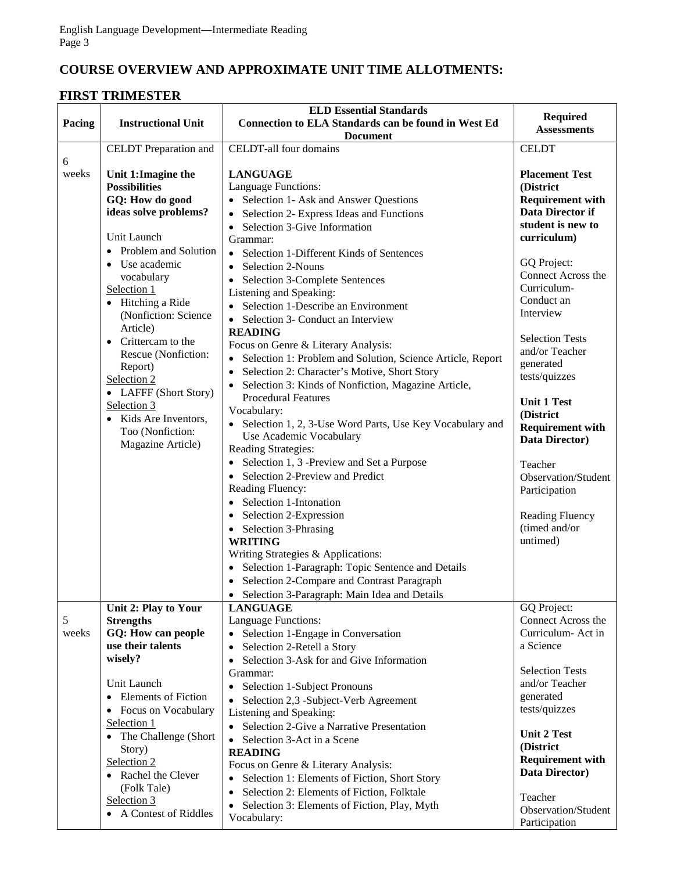# **COURSE OVERVIEW AND APPROXIMATE UNIT TIME ALLOTMENTS:**

# **FIRST TRIMESTER**

|            |                                             | <b>ELD Essential Standards</b>                                                     | <b>Required</b>                    |
|------------|---------------------------------------------|------------------------------------------------------------------------------------|------------------------------------|
| Pacing     | <b>Instructional Unit</b>                   | <b>Connection to ELA Standards can be found in West Ed</b>                         | <b>Assessments</b>                 |
|            |                                             | <b>Document</b>                                                                    |                                    |
|            | CELDT Preparation and                       | CELDT-all four domains                                                             | <b>CELDT</b>                       |
| 6<br>weeks | Unit 1: Imagine the<br><b>Possibilities</b> | <b>LANGUAGE</b><br>Language Functions:                                             | <b>Placement Test</b><br>(District |
|            | GQ: How do good                             | Selection 1- Ask and Answer Questions                                              | <b>Requirement with</b>            |
|            | ideas solve problems?                       | Selection 2- Express Ideas and Functions<br>$\bullet$                              | Data Director if                   |
|            |                                             | Selection 3-Give Information<br>$\bullet$                                          | student is new to                  |
|            | Unit Launch                                 | Grammar:                                                                           | curriculum)                        |
|            | • Problem and Solution                      | Selection 1-Different Kinds of Sentences<br>$\bullet$                              |                                    |
|            | • Use academic                              | Selection 2-Nouns<br>$\bullet$                                                     | GQ Project:                        |
|            | vocabulary                                  | Selection 3-Complete Sentences                                                     | Connect Across the                 |
|            | Selection 1                                 | Listening and Speaking:                                                            | Curriculum-                        |
|            | • Hitching a Ride                           | Selection 1-Describe an Environment                                                | Conduct an                         |
|            | (Nonfiction: Science                        | Selection 3- Conduct an Interview<br>$\bullet$                                     | Interview                          |
|            | Article)                                    | <b>READING</b>                                                                     | <b>Selection Tests</b>             |
|            | Crittercam to the                           | Focus on Genre & Literary Analysis:                                                | and/or Teacher                     |
|            | Rescue (Nonfiction:                         | Selection 1: Problem and Solution, Science Article, Report<br>$\bullet$            | generated                          |
|            | Report)<br>Selection 2                      | Selection 2: Character's Motive, Short Story<br>$\bullet$                          | tests/quizzes                      |
|            | • LAFFF (Short Story)                       | Selection 3: Kinds of Nonfiction, Magazine Article,                                |                                    |
|            | Selection 3                                 | <b>Procedural Features</b>                                                         | <b>Unit 1 Test</b>                 |
|            | Kids Are Inventors,                         | Vocabulary:                                                                        | (District                          |
|            | Too (Nonfiction:                            | Selection 1, 2, 3-Use Word Parts, Use Key Vocabulary and                           | <b>Requirement with</b>            |
|            | Magazine Article)                           | Use Academic Vocabulary<br>Reading Strategies:                                     | Data Director)                     |
|            |                                             | Selection 1, 3 -Preview and Set a Purpose<br>$\bullet$                             |                                    |
|            |                                             | Selection 2-Preview and Predict                                                    | Teacher<br>Observation/Student     |
|            |                                             | Reading Fluency:                                                                   | Participation                      |
|            |                                             | • Selection 1-Intonation                                                           |                                    |
|            |                                             | Selection 2-Expression                                                             | <b>Reading Fluency</b>             |
|            |                                             | Selection 3-Phrasing<br>$\bullet$                                                  | (timed and/or                      |
|            |                                             | <b>WRITING</b>                                                                     | untimed)                           |
|            |                                             | Writing Strategies & Applications:                                                 |                                    |
|            |                                             | • Selection 1-Paragraph: Topic Sentence and Details                                |                                    |
|            |                                             | Selection 2-Compare and Contrast Paragraph                                         |                                    |
|            |                                             | • Selection 3-Paragraph: Main Idea and Details                                     |                                    |
|            | Unit 2: Play to Your                        | <b>LANGUAGE</b>                                                                    | GQ Project:                        |
| 5          | <b>Strengths</b>                            | Language Functions:                                                                | Connect Across the                 |
| weeks      | GQ: How can people                          | Selection 1-Engage in Conversation                                                 | Curriculum- Act in                 |
|            | use their talents<br>wisely?                | Selection 2-Retell a Story<br>$\bullet$                                            | a Science                          |
|            |                                             | Selection 3-Ask for and Give Information<br>$\bullet$                              | <b>Selection Tests</b>             |
|            | Unit Launch                                 | Grammar:                                                                           | and/or Teacher                     |
|            | <b>Elements of Fiction</b>                  | Selection 1-Subject Pronouns<br>$\bullet$<br>Selection 2,3 -Subject-Verb Agreement | generated                          |
|            | • Focus on Vocabulary                       | Listening and Speaking:                                                            | tests/quizzes                      |
|            | Selection 1                                 | • Selection 2-Give a Narrative Presentation                                        |                                    |
|            | • The Challenge (Short                      | Selection 3-Act in a Scene<br>$\bullet$                                            | <b>Unit 2 Test</b>                 |
|            | Story)                                      | <b>READING</b>                                                                     | (District                          |
|            | Selection 2                                 | Focus on Genre & Literary Analysis:                                                | <b>Requirement with</b>            |
|            | • Rachel the Clever                         | Selection 1: Elements of Fiction, Short Story                                      | Data Director)                     |
|            | (Folk Tale)                                 | Selection 2: Elements of Fiction, Folktale<br>$\bullet$                            | Teacher                            |
|            | Selection 3                                 | Selection 3: Elements of Fiction, Play, Myth<br>$\bullet$                          | Observation/Student                |
|            | • A Contest of Riddles                      | Vocabulary:                                                                        | Participation                      |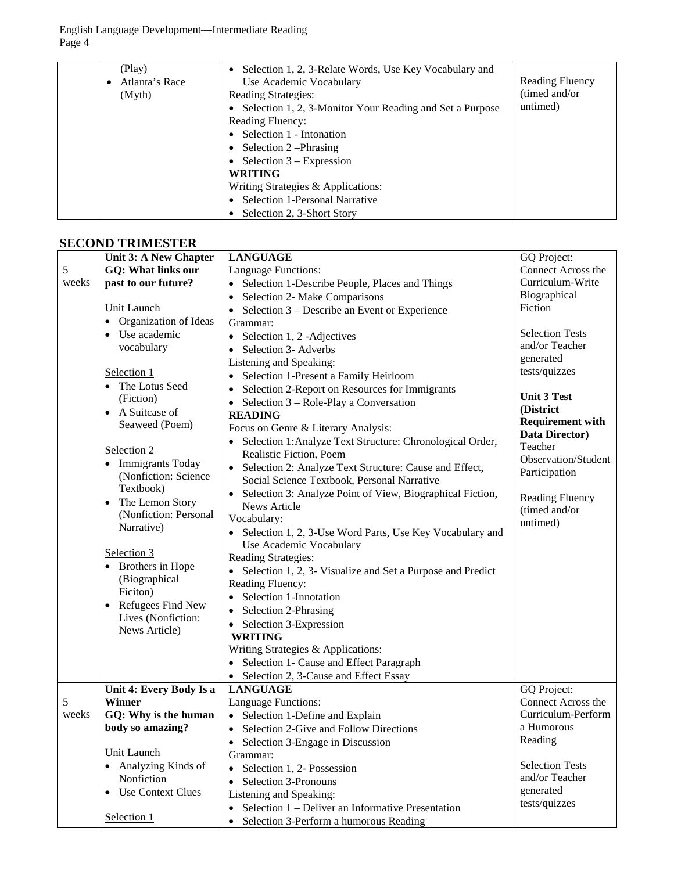English Language Development—Intermediate Reading Page 4

| (Play)<br>Atlanta's Race | Selection 1, 2, 3-Relate Words, Use Key Vocabulary and<br>$\bullet$<br>Use Academic Vocabulary | Reading Fluency |
|--------------------------|------------------------------------------------------------------------------------------------|-----------------|
| (Myth)                   | <b>Reading Strategies:</b>                                                                     | (timed and/or)  |
|                          |                                                                                                | untimed)        |
|                          | • Selection 1, 2, 3-Monitor Your Reading and Set a Purpose                                     |                 |
|                          | Reading Fluency:                                                                               |                 |
|                          | Selection 1 - Intonation<br>$\bullet$                                                          |                 |
|                          | Selection 2-Phrasing                                                                           |                 |
|                          | Selection $3 -$ Expression                                                                     |                 |
|                          | <b>WRITING</b>                                                                                 |                 |
|                          | Writing Strategies & Applications:                                                             |                 |
|                          | Selection 1-Personal Narrative                                                                 |                 |
|                          | Selection 2, 3-Short Story                                                                     |                 |

# **SECOND TRIMESTER**

|       | Unit 3: A New Chapter          | <b>LANGUAGE</b>                                                                      | GQ Project:             |
|-------|--------------------------------|--------------------------------------------------------------------------------------|-------------------------|
| 5     | GQ: What links our             | Language Functions:                                                                  | Connect Across the      |
| weeks | past to our future?            | Selection 1-Describe People, Places and Things                                       | Curriculum-Write        |
|       |                                | Selection 2- Make Comparisons<br>$\bullet$                                           | Biographical            |
|       | Unit Launch                    | Selection 3 – Describe an Event or Experience<br>$\bullet$                           | Fiction                 |
|       | • Organization of Ideas        | Grammar:                                                                             |                         |
|       | • Use academic                 | Selection 1, 2 - Adjectives<br>$\bullet$                                             | <b>Selection Tests</b>  |
|       | vocabulary                     | Selection 3- Adverbs<br>$\bullet$                                                    | and/or Teacher          |
|       |                                | Listening and Speaking:                                                              | generated               |
|       | Selection 1                    | Selection 1-Present a Family Heirloom<br>$\bullet$                                   | tests/quizzes           |
|       | • The Lotus Seed               | Selection 2-Report on Resources for Immigrants<br>$\bullet$                          |                         |
|       | (Fiction)                      | Selection 3 – Role-Play a Conversation                                               | <b>Unit 3 Test</b>      |
|       | • A Suitcase of                | $\bullet$<br><b>READING</b>                                                          | (District               |
|       | Seaweed (Poem)                 | Focus on Genre & Literary Analysis:                                                  | <b>Requirement with</b> |
|       |                                |                                                                                      | Data Director)          |
|       | Selection 2                    | Selection 1: Analyze Text Structure: Chronological Order,<br>Realistic Fiction, Poem | Teacher                 |
|       | • Immigrants Today             |                                                                                      | Observation/Student     |
|       | (Nonfiction: Science           | Selection 2: Analyze Text Structure: Cause and Effect,                               | Participation           |
|       | Textbook)                      | Social Science Textbook, Personal Narrative                                          |                         |
|       | The Lemon Story<br>$\bullet$   | Selection 3: Analyze Point of View, Biographical Fiction,                            | <b>Reading Fluency</b>  |
|       | (Nonfiction: Personal          | News Article                                                                         | (timed and/or           |
|       | Narrative)                     | Vocabulary:                                                                          | untimed)                |
|       |                                | • Selection 1, 2, 3-Use Word Parts, Use Key Vocabulary and                           |                         |
|       | Selection 3                    | Use Academic Vocabulary                                                              |                         |
|       | • Brothers in Hope             | Reading Strategies:                                                                  |                         |
|       | (Biographical                  | Selection 1, 2, 3- Visualize and Set a Purpose and Predict<br>$\bullet$              |                         |
|       | Ficiton)                       | Reading Fluency:                                                                     |                         |
|       | Refugees Find New<br>$\bullet$ | Selection 1-Innotation<br>$\bullet$                                                  |                         |
|       | Lives (Nonfiction:             | Selection 2-Phrasing<br>$\bullet$                                                    |                         |
|       | News Article)                  | Selection 3-Expression<br>$\bullet$                                                  |                         |
|       |                                | <b>WRITING</b>                                                                       |                         |
|       |                                | Writing Strategies & Applications:                                                   |                         |
|       |                                | Selection 1- Cause and Effect Paragraph<br>$\bullet$                                 |                         |
|       |                                | Selection 2, 3-Cause and Effect Essay<br>$\bullet$                                   |                         |
|       | Unit 4: Every Body Is a        | <b>LANGUAGE</b>                                                                      | GQ Project:             |
| 5     | <b>Winner</b>                  | Language Functions:                                                                  | Connect Across the      |
| weeks | GQ: Why is the human           | • Selection 1-Define and Explain                                                     | Curriculum-Perform      |
|       | body so amazing?               | Selection 2-Give and Follow Directions<br>$\bullet$                                  | a Humorous              |
|       |                                | Selection 3-Engage in Discussion<br>$\bullet$                                        | Reading                 |
|       | Unit Launch                    | Grammar:                                                                             |                         |
|       | • Analyzing Kinds of           | Selection 1, 2- Possession<br>$\bullet$                                              | <b>Selection Tests</b>  |
|       | Nonfiction                     | Selection 3-Pronouns<br>$\bullet$                                                    | and/or Teacher          |
|       | • Use Context Clues            | Listening and Speaking:                                                              | generated               |
|       |                                | Selection 1 – Deliver an Informative Presentation<br>$\bullet$                       | tests/quizzes           |
|       | Selection 1                    | Selection 3-Perform a humorous Reading<br>$\bullet$                                  |                         |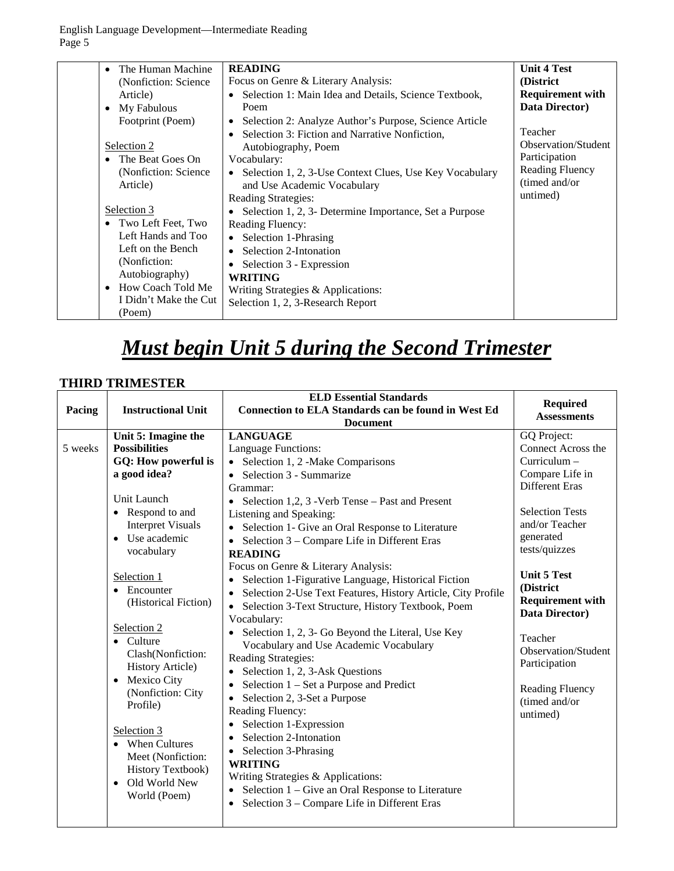English Language Development—Intermediate Reading Page 5

| The Human Machine<br>(Nonfiction: Science)<br>Article)<br>$\bullet$ My Fabulous<br>Footprint (Poem)<br>Selection 2<br>• The Beat Goes On<br>(Nonfiction: Science)<br>Article)<br>Selection 3<br>• Two Left Feet, Two<br>Left Hands and Too<br>Left on the Bench<br>(Nonfiction:<br>Autobiography)<br>• How Coach Told Me<br>I Didn't Make the Cut<br>(Poem) | <b>READING</b><br>Focus on Genre & Literary Analysis:<br>Selection 1: Main Idea and Details, Science Textbook,<br>Poem<br>Selection 2: Analyze Author's Purpose, Science Article<br>Selection 3: Fiction and Narrative Nonfiction,<br>Autobiography, Poem<br>Vocabulary:<br>• Selection 1, 2, 3-Use Context Clues, Use Key Vocabulary<br>and Use Academic Vocabulary<br>Reading Strategies:<br>Selection 1, 2, 3- Determine Importance, Set a Purpose<br><b>Reading Fluency:</b><br>• Selection 1-Phrasing<br>Selection 2-Intonation<br>Selection 3 - Expression<br><b>WRITING</b><br>Writing Strategies & Applications:<br>Selection 1, 2, 3-Research Report | <b>Unit 4 Test</b><br>(District<br><b>Requirement with</b><br>Data Director)<br>Teacher<br>Observation/Student<br>Participation<br><b>Reading Fluency</b><br>(timed and/or<br>untimed) |
|-------------------------------------------------------------------------------------------------------------------------------------------------------------------------------------------------------------------------------------------------------------------------------------------------------------------------------------------------------------|---------------------------------------------------------------------------------------------------------------------------------------------------------------------------------------------------------------------------------------------------------------------------------------------------------------------------------------------------------------------------------------------------------------------------------------------------------------------------------------------------------------------------------------------------------------------------------------------------------------------------------------------------------------|----------------------------------------------------------------------------------------------------------------------------------------------------------------------------------------|
|-------------------------------------------------------------------------------------------------------------------------------------------------------------------------------------------------------------------------------------------------------------------------------------------------------------------------------------------------------------|---------------------------------------------------------------------------------------------------------------------------------------------------------------------------------------------------------------------------------------------------------------------------------------------------------------------------------------------------------------------------------------------------------------------------------------------------------------------------------------------------------------------------------------------------------------------------------------------------------------------------------------------------------------|----------------------------------------------------------------------------------------------------------------------------------------------------------------------------------------|

# *Must begin Unit 5 during the Second Trimester*

# **THIRD TRIMESTER**

|         |                            | <b>ELD Essential Standards</b>                                            | Required                |
|---------|----------------------------|---------------------------------------------------------------------------|-------------------------|
| Pacing  | <b>Instructional Unit</b>  | <b>Connection to ELA Standards can be found in West Ed</b>                | <b>Assessments</b>      |
|         |                            | <b>Document</b>                                                           |                         |
|         | Unit 5: Imagine the        | <b>LANGUAGE</b>                                                           | GQ Project:             |
| 5 weeks | <b>Possibilities</b>       | Language Functions:                                                       | Connect Across the      |
|         | GQ: How powerful is        | Selection 1, 2 -Make Comparisons                                          | Curriculum -            |
|         | a good idea?               | Selection 3 - Summarize<br>$\bullet$                                      | Compare Life in         |
|         |                            | Grammar:                                                                  | <b>Different Eras</b>   |
|         | Unit Launch                | Selection 1,2, 3 - Verb Tense – Past and Present<br>$\bullet$             |                         |
|         | • Respond to and           | Listening and Speaking:                                                   | <b>Selection Tests</b>  |
|         | <b>Interpret Visuals</b>   | Selection 1- Give an Oral Response to Literature<br>$\bullet$             | and/or Teacher          |
|         | Use academic<br>$\bullet$  | Selection 3 – Compare Life in Different Eras                              | generated               |
|         | vocabulary                 | <b>READING</b>                                                            | tests/quizzes           |
|         |                            | Focus on Genre & Literary Analysis:                                       |                         |
|         | Selection 1                | Selection 1-Figurative Language, Historical Fiction<br>$\bullet$          | <b>Unit 5 Test</b>      |
|         | $\bullet$ Encounter        | Selection 2-Use Text Features, History Article, City Profile<br>$\bullet$ | (District               |
|         | (Historical Fiction)       | Selection 3-Text Structure, History Textbook, Poem<br>$\bullet$           | <b>Requirement with</b> |
|         |                            | Vocabulary:                                                               | Data Director)          |
|         | Selection 2                | Selection 1, 2, 3- Go Beyond the Literal, Use Key                         | Teacher                 |
|         | $\bullet$ Culture          | Vocabulary and Use Academic Vocabulary                                    | Observation/Student     |
|         | Clash(Nonfiction:          | Reading Strategies:                                                       | Participation           |
|         | <b>History Article)</b>    | Selection 1, 2, 3-Ask Questions<br>$\bullet$                              |                         |
|         | Mexico City                | Selection $1 - Set$ a Purpose and Predict<br>٠                            | Reading Fluency         |
|         | (Nonfiction: City          | Selection 2, 3-Set a Purpose                                              | (timed and/or           |
|         | Profile)                   | Reading Fluency:                                                          | untimed)                |
|         |                            | Selection 1-Expression<br>٠                                               |                         |
|         | Selection 3                | Selection 2-Intonation                                                    |                         |
|         | • When Cultures            | Selection 3-Phrasing<br>$\bullet$                                         |                         |
|         | Meet (Nonfiction:          | <b>WRITING</b>                                                            |                         |
|         | <b>History Textbook)</b>   | Writing Strategies & Applications:                                        |                         |
|         | Old World New<br>$\bullet$ | Selection 1 – Give an Oral Response to Literature<br>$\bullet$            |                         |
|         | World (Poem)               | Selection 3 - Compare Life in Different Eras                              |                         |
|         |                            |                                                                           |                         |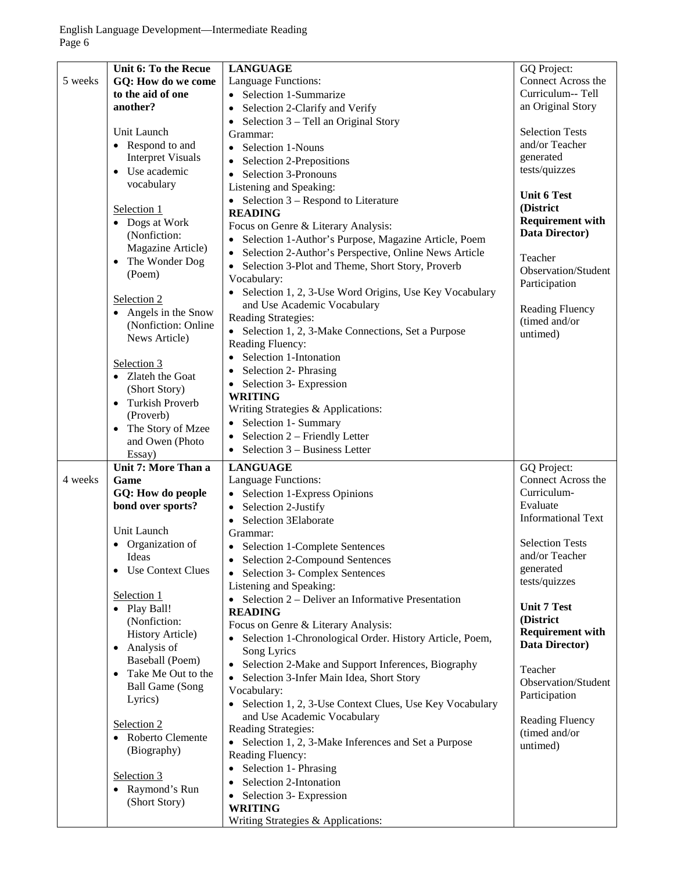|         | Unit 6: To the Recue     | <b>LANGUAGE</b>                                                    | GQ Project:                               |
|---------|--------------------------|--------------------------------------------------------------------|-------------------------------------------|
| 5 weeks | GQ: How do we come       | Language Functions:                                                | Connect Across the                        |
|         | to the aid of one        | • Selection 1-Summarize                                            | Curriculum-- Tell                         |
|         | another?                 | Selection 2-Clarify and Verify<br>$\bullet$                        | an Original Story                         |
|         |                          | Selection 3 – Tell an Original Story<br>$\bullet$                  |                                           |
|         | Unit Launch              | Grammar:                                                           | <b>Selection Tests</b>                    |
|         | • Respond to and         | Selection 1-Nouns<br>$\bullet$                                     | and/or Teacher                            |
|         | <b>Interpret Visuals</b> | Selection 2-Prepositions<br>$\bullet$                              | generated                                 |
|         | • Use academic           | Selection 3-Pronouns<br>$\bullet$                                  | tests/quizzes                             |
|         | vocabulary               | Listening and Speaking:                                            |                                           |
|         |                          | • Selection $3$ – Respond to Literature                            | <b>Unit 6 Test</b>                        |
|         | Selection 1              | <b>READING</b>                                                     | (District                                 |
|         | • Dogs at Work           | Focus on Genre & Literary Analysis:                                | <b>Requirement with</b>                   |
|         | (Nonfiction:             |                                                                    | Data Director)                            |
|         | Magazine Article)        | Selection 1-Author's Purpose, Magazine Article, Poem               |                                           |
|         | The Wonder Dog           | Selection 2-Author's Perspective, Online News Article<br>$\bullet$ | Teacher                                   |
|         | (Poem)                   | Selection 3-Plot and Theme, Short Story, Proverb<br>$\bullet$      | <b>Observation/Student</b>                |
|         |                          | Vocabulary:                                                        | Participation                             |
|         | Selection 2              | • Selection 1, 2, 3-Use Word Origins, Use Key Vocabulary           |                                           |
|         | • Angels in the Snow     | and Use Academic Vocabulary                                        | <b>Reading Fluency</b>                    |
|         |                          | Reading Strategies:                                                | (timed and/or                             |
|         | (Nonfiction: Online      | • Selection 1, 2, 3-Make Connections, Set a Purpose                | untimed)                                  |
|         | News Article)            | Reading Fluency:                                                   |                                           |
|         |                          | Selection 1-Intonation<br>$\bullet$                                |                                           |
|         | Selection 3              | Selection 2- Phrasing<br>$\bullet$                                 |                                           |
|         | • Zlateh the Goat        | Selection 3- Expression<br>$\bullet$                               |                                           |
|         | (Short Story)            | <b>WRITING</b>                                                     |                                           |
|         | • Turkish Proverb        | Writing Strategies & Applications:                                 |                                           |
|         | (Proverb)                | Selection 1- Summary                                               |                                           |
|         | • The Story of Mzee      |                                                                    |                                           |
|         | and Owen (Photo          | Selection 2 - Friendly Letter<br>$\bullet$                         |                                           |
|         | Essay)                   | Selection 3 – Business Letter<br>$\bullet$                         |                                           |
|         | Unit 7: More Than a      | <b>LANGUAGE</b>                                                    | GQ Project:                               |
| 4 weeks | Game                     |                                                                    |                                           |
|         |                          | Language Functions:                                                | Connect Across the                        |
|         | GQ: How do people        | Selection 1-Express Opinions                                       | Curriculum-                               |
|         | bond over sports?        | $\bullet$                                                          | Evaluate                                  |
|         |                          | Selection 2-Justify<br>$\bullet$                                   | <b>Informational Text</b>                 |
|         | Unit Launch              | Selection 3Elaborate<br>Grammar:                                   |                                           |
|         | • Organization of        |                                                                    | <b>Selection Tests</b>                    |
|         | Ideas                    | <b>Selection 1-Complete Sentences</b>                              | and/or Teacher                            |
|         |                          | <b>Selection 2-Compound Sentences</b>                              | generated                                 |
|         | Use Context Clues        | Selection 3- Complex Sentences                                     | tests/quizzes                             |
|         |                          | Listening and Speaking:                                            |                                           |
|         | Selection 1              | • Selection $2$ – Deliver an Informative Presentation              | <b>Unit 7 Test</b>                        |
|         | • Play Ball!             | <b>READING</b>                                                     | (District                                 |
|         | (Nonfiction:             | Focus on Genre & Literary Analysis:                                |                                           |
|         | <b>History Article)</b>  | • Selection 1-Chronological Order. History Article, Poem,          | <b>Requirement with</b><br>Data Director) |
|         | • Analysis of            | Song Lyrics                                                        |                                           |
|         | Baseball (Poem)          | Selection 2-Make and Support Inferences, Biography                 | Teacher                                   |
|         | • Take Me Out to the     | Selection 3-Infer Main Idea, Short Story<br>$\bullet$              | Observation/Student                       |
|         | <b>Ball Game (Song</b>   | Vocabulary:                                                        |                                           |
|         | Lyrics)                  | Selection 1, 2, 3-Use Context Clues, Use Key Vocabulary            | Participation                             |
|         |                          | and Use Academic Vocabulary                                        |                                           |
|         | Selection 2              | Reading Strategies:                                                | Reading Fluency                           |
|         | • Roberto Clemente       | Selection 1, 2, 3-Make Inferences and Set a Purpose                | (timed and/or                             |
|         | (Biography)              | Reading Fluency:                                                   | untimed)                                  |
|         |                          |                                                                    |                                           |
|         | Selection 3              | Selection 1- Phrasing                                              |                                           |
|         | • Raymond's Run          | Selection 2-Intonation                                             |                                           |
|         | (Short Story)            | Selection 3- Expression<br><b>WRITING</b>                          |                                           |